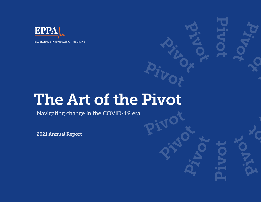

# The Art of the Pivot

Navigating change in the COVID-19 era.

2021 Annual Report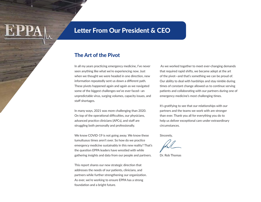### Letter From Our President & CEO

### The Art of the Pivot

In all my years practicing emergency medicine, I've never seen anything like what we're experiencing now. Just when we thought we were headed in one direction, new information repeatedly sent us down a different path. These pivots happened again and again as we navigated some of the biggest challenges we've ever faced—an unpredictable virus, surging volumes, capacity issues, and staff shortages.

In many ways, 2021 was more challenging than 2020. On top of the operational difficulties, our physicians, advanced practice clinicians (APCs), and staff are struggling both personally and professionally.

We know COVID-19 is not going away. We know these tumultuous times aren't over. So how do we practice emergency medicine sustainably in this new reality? That's the question EPPA leaders have wrestled with while gathering insights and data from our people and partners.

This report shares our new strategic direction that addresses the needs of our patients, clinicians, and partners while further strengthening our organization. As ever, we're working to ensure EPPA has a strong foundation and a bright future.

 As we worked together to meet ever-changing demands that required rapid shifts, we became adept at the art of the pivot—and that's something we can be proud of. Our ability to deal with hardships and stay nimble during times of constant change allowed us to continue serving patients and collaborating with our partners during one of emergency medicine's most challenging times.

It's gratifying to see that our relationships with our partners and the teams we work with are stronger than ever. Thank you all for everything you do to help us deliver exceptional care under extraordinary circumstances.

Sincerely,

Dr. Rob Thomas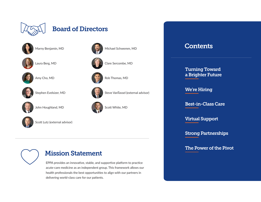

### Board of Directors



Marny Benjamin, MD



Laura Berg, MD



Amy Cho, MD



Stephen Evelsizer, MD



John Houghland, MD



Scott Lutz (external advisor)



### Mission Statement

EPPA provides an innovative, stable, and supportive platform to practice acute-care medicine as an independent group. This framework allows our health professionals the best opportunities to align with our partners in delivering world-class care for our patients.









Rob Thomas, MD





Steve VanTassel (external advisor)



Scott White, MD

### Contents

[Turning Toward](#page-3-0)  [a Brighter Future](#page-3-0)

[We're Hiring](#page-7-0)

[Best-in-Class Care](#page-9-0)

[Virtual Support](#page-10-0)

[Strong Partnerships](#page-11-0)

[The Power of the Pivot](#page-19-0)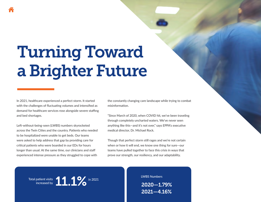# <span id="page-3-0"></span>Turning Toward a Brighter Future

In 2021, healthcare experienced a perfect storm. It started with the challenges of fluctuating volumes and intensified as demand for healthcare services rose alongside severe staffing and bed shortages.

Left-without-being-seen (LWBS) numbers skyrocketed across the Twin Cities and the country. Patients who needed to be hospitalized were unable to get beds. Our teams were asked to help address that gap by providing care for critical patients who were boarded in our EDs for hours longer than usual. At the same time, our clinicians and staff experienced intense pressure as they struggled to cope with

the constantly changing care landscape while trying to combat misinformation.

"Since March of 2020, when COVID hit, we've been traveling through completely uncharted waters. We've never seen anything like this—and it's not over," says EPPA's executive medical director, Dr. Michael Rock.

Though that perfect storm still rages and we're not certain when or how it will end, we know one thing for sure—our teams have pulled together to face this crisis in ways that prove our strength, our resiliency, and our adaptability.

Total patient visits 11.1% in 2021

LWBS Numbers 2020—1.79% 2021—4.16%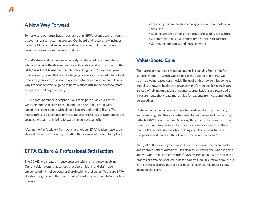### A New Way Forward

To make sure our organization stands strong, EPPA recently went through a governance restructuring process. Our board of directors now includes more clinicians and diverse perspectives to ensure that as our group grows, all voices are represented and heard.

"EPPA's shareholders have selected a dynamite set of board members who are bringing the diverse needs and thoughts of all our partners to the table," says EPPA board member Dr. John Houghland. "They've engaged us all in deep, thoughtful, and challenging conversations about what's best for our organization, our health-system partners, and our patients. That's why I'm confident we're going to be very successful in the next few years despite the challenges coming."

EPPA board member Dr. Stephen Evelsizer is particularly excited to welcome more clinicians to the board. "We have a big group with lots of intelligent people with diverse backgrounds and skill sets. The restructuring is a deliberate effort to tap into the voices of everyone in the group so we can really bring forward the best we can offer."

After gathering feedback from our shareholders, EPPA leaders have set a strategic direction for our organization that's centered around four pillars.

### EPPA Culture & Professional Satisfaction

The COVID era created intense pressure within emergency medicine. Our physician owners, advanced practice clinicians, and staff have encountered myriad personal and professional challenges. To ensure EPPA stands strong through this storm, we're focusing on our people in a variety of ways:

- Enhancing communication among physician shareholders and clinicians
- Building strategic efforts to improve and solidify our culture
- Committing to positively affect professional satisfaction
- Continuing our equity and inclusion work

### Value-Based Care

The future of healthcare reimbursements is changing from a fee-forservices model—in which we're paid for the volume of patients we see—to a value-based care model. The goal of this new reimbursement model is to reward healthcare organizations for the quality of their care. Instead of relying on patient encounters, organizations are rewarded on measurements that create more value for patients from cost and quality perspectives.

"Before the pandemic, metrics were focused heavily on productivity and financial goals. This was detrimental to our people and our culture," reflects EPPA board member Dr. Marny Benjamin. "This time has forced us to be more introspective: How can we create a successful culture that fuels financial success while helping our clinicians nurture their compassion and maintain their love of emergency medicine?"

The goal of the new payment model is to drive down healthcare costs and improve patient outcomes. "It's clear this is where the world is going, and we want to be at the forefront," says Dr. Benjamin. "We're still in the process of defining what value-based care will look like for our group, but it's a strategic priority because our hospital partners rely on us to stay ahead of the curve."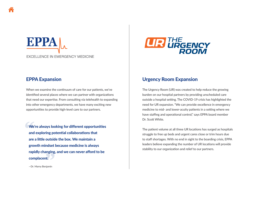### EPPAL **EXCELLENCE IN EMERGENCY MEDICINE**

### EPPA Expansion

When we examine the continuum of care for our patients, we've identified several places where we can partner with organizations that need our expertise. From consulting via telehealth to expanding into other emergency departments, we have many exciting new opportunities to provide high-level care to our partners.

We're always looking for different opportunities and exploring potential collaborations that are a little outside the box. We maintain a growth mindset because medicine is always rapidly changing, and we can never afford to be complacent. **"E**<br> **We**<br>
and<br>
are

**UR THE URGENCY** 

### Urgency Room Expansion

The Urgency Room (UR) was created to help reduce the growing burden on our hospital partners by providing unscheduled care outside a hospital setting. The COVID-19 crisis has highlighted the need for UR expansion. "We can provide excellence in emergency medicine to mid- and lower-acuity patients in a setting where we have staffing and operational control," says EPPA board member Dr. Scott White.

The patient volume at all three UR locations has surged as hospitals struggle to free up beds and urgent cares close or trim hours due to staff shortages. With no end in sight to the boarding crisis, EPPA leaders believe expanding the number of UR locations will provide stability to our organization and relief to our partners.

—Dr. Marny Benjamin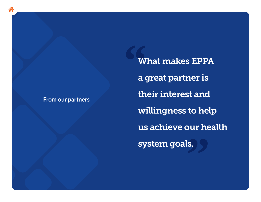### **From our partners**

**"** us achieve our health<br>system goals. What makes EPPA a great partner is their interest and willingness to help system goals.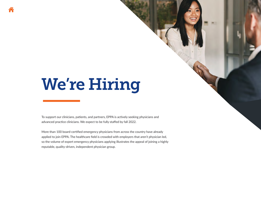# <span id="page-7-0"></span>We're Hiring

To support our clinicians, patients, and partners, EPPA is actively seeking physicians and advanced practice clinicians. We expect to be fully staffed by fall 2022.

More than 100 board-certified emergency physicians from across the country have already applied to join EPPA. The healthcare field is crowded with employers that aren't physician led, so the volume of expert emergency physicians applying illustrates the appeal of joining a highly reputable, quality-driven, independent physician group.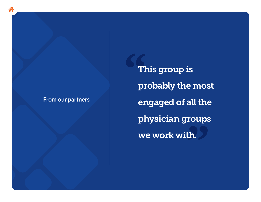### **From our partners**

**"** roups<br>th. This group is probably the most engaged of all the physician groups we work with.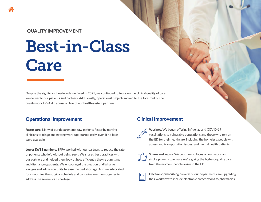### <span id="page-9-0"></span>QUALITY IMPROVEMENT

# Best-in-Class **Care**

Despite the significant headwinds we faced in 2021, we continued to focus on the clinical quality of care we deliver to our patients and partners. Additionally, operational projects moved to the forefront of the quality work EPPA did across all five of our health-system partners.

### Operational Improvement

Faster care. Many of our departments saw patients faster by moving clinicians to triage and getting work-ups started early, even if no beds were available.

Lower LWBS numbers. EPPA worked with our partners to reduce the rate of patients who left without being seen. We shared best practices with our partners and helped them look at how efficiently they're admitting and discharging patients. We encouraged the creation of discharge lounges and admission units to ease the bed shortage. And we advocated for smoothing the surgical schedule and canceling elective surgeries to address the severe staff shortage.

### Clinical Improvement



Vaccines. We began offering influenza and COVID-19 vaccinations to vulnerable populations and those who rely on the ED for their healthcare, including the homeless, people with access and transportation issues, and mental health patients.



 $|R$ ≡

Stroke and sepsis. We continue to focus on our sepsis and stroke projects to ensure we're giving the highest-quality care from the moment people arrive in the ED.

Electronic prescribing. Several of our departments are upgrading their workflow to include electronic prescriptions to pharmacies.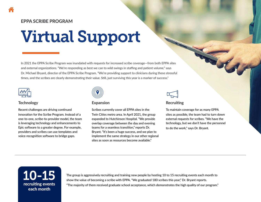### <span id="page-10-0"></span>EPPA SCRIBE PROGRAM

# Virtual Support

In 2021 the EPPA Scribe Program was inundated with requests for increased scribe coverage—from both EPPA sites and external organizations. "We're responding as best we can to wild swings in staffing and patient volume," says Dr. Michael Bryant, director of the EPPA Scribe Program. "We're providing support to clinicians during these stressful times, and the scribes are clearly demonstrating their value. Still, just surviving this year is a marker of success."



### **Technology**

Recent challenges are driving continued innovation for the Scribe Program. Instead of a one-to-one, scribe-to-provider model, the team is leveraging technology and enhancements to Epic software to a greater degree. For example, providers and scribes can use templates and voice-recognition software to bridge gaps.



#### Expansion

Scribes currently cover all EPPA sites in the Twin Cities metro area. In April 2021, the group expanded to Hutchinson Hospital. "We provide overlap coverage between the day and evening teams for a seamless transition," reports Dr. Bryant. "It's been a huge success, and we plan to implement the same strategy in our other regional sites as soon as resources become available."



#### **Recruiting**

To maintain coverage for as many EPPA sites as possible, the team had to turn down external requests for scribes. "We have the technology, but we don't have the personnel to do the work," says Dr. Bryant.



The group is aggressively recruiting and training new people by hosting 10 to 15 recruiting events each month to show the value of becoming a scribe with EPPA. "We graduated 180 scribes this year," Dr. Bryant reports. "The majority of them received graduate school acceptance, which demonstrates the high quality of our program."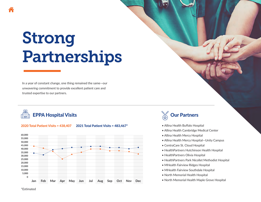# <span id="page-11-0"></span>Strong Partnerships

In a year of constant change, one thing remained the same—our unwavering commitment to provide excellent patient care and trusted expertise to our partners.





2020 Total Patient Visits = 438,407 2021 Total Patient Visits = 483,467\*



- Allina Health Buffalo Hospital
- Allina Health Cambridge Medical Center
- Allina Health Mercy Hospital
- Allina Health Mercy Hospital—Unity Campus
- CentraCare St. Cloud Hospital
- HealthPartners Hutchinson Health Hospital
- HealthPartners Olivia Hospital
- HealthPartners Park Nicollet Methodist Hospital
- MHealth Fairview Ridges Hospital
- MHealth Fairview Southdale Hospital
- North Memorial Health Hospital
- North Memorial Health Maple Grove Hospital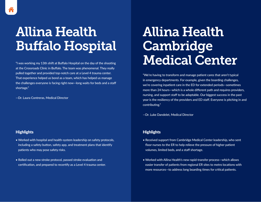# Allina Health Buffalo Hospital

"I was working my 13th shift at Buffalo Hospital on the day of the shooting at the Crossroads Clinic in Buffalo. The team was phenomenal. They really pulled together and provided top-notch care at a Level 4 trauma center. That experience helped us bond as a team, which has helped us manage the challenges everyone is facing right now—long waits for beds and a staff shortage."

—Dr. Laura Contreras, Medical Director

#### **Highlights**

- Worked with hospital and health-system leadership on safety protocols, including a safety button, safety app, and treatment plans that identify patients who may pose safety risks.
- Rolled out a new stroke protocol, passed stroke evaluation and certification, and prepared to recertify as a Level 4 trauma center.

### Allina Health Cambridge Medical Center

"We're having to transform and manage patient cares that aren't typical in emergency departments. For example, given the boarding challenges, we're covering inpatient care in the ED for extended periods—sometimes more than 24 hours—which is a whole different path and requires providers, nursing, and support staff to be adaptable. Our biggest success in the past year is the resiliency of the providers and ED staff. Everyone is pitching in and contributing."

—Dr. Luke Dandelet, Medical Director

- Received support from Cambridge Medical Center leadership, who sent floor nurses to the ER to help relieve the pressure of higher patient volumes, limited beds, and a staff shortage.
- Worked with Allina Health's new rapid-transfer process—which allows easier transfer of patients from regional ER sites to metro locations with more resources—to address long boarding times for critical patients.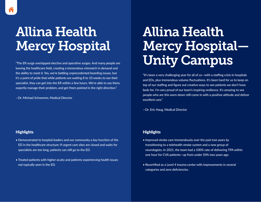# Allina Health **Mercy Hospital**

"The ER surge overlapped elective and operative surges. And many people are leaving the healthcare field, creating a tremendous mismatch in demand and the ability to meet it. Yes, we're battling unprecedented boarding issues, but it's a point of pride that while patients are waiting 8 to 10 weeks to see their specialist, they can get into the ER within a few hours. We're able to see them, expertly manage their problem, and get them pointed in the right direction."

—Dr. Michael Schwemm, Medical Director

# Allina Health Mercy Hospital— Unity Campus

"It's been a very challenging year for all of us—with a staffing crisis in hospitals and EDs, plus tremendous volume fluctuations. It's been hard for us to keep on top of our staffing and figure out creative ways to see patients we don't have beds for. I'm very proud of our team's inspiring resilience. It's amazing to see people who are this worn down still come in with a positive attitude and deliver excellent care."

—Dr. Eric Haug, Medical Director

#### **Highlights**

- Demonstrated to hospital leaders and our community a key function of the ED in the healthcare structure: If urgent care sites are closed and waits for specialists are too long, patients can still go to the ED.
- Treated patients with higher acuity and patients experiencing health issues not typically seen in the ED.

- Improved stroke care tremendously over the past two years by transitioning to a telehealth stroke system and a new group of neurologists. In 2021, the team had a 100% rate of delivering TPA within one hour for CVA patients—up from under 50% two years ago.
- Recertified as a Level 4 trauma center with improvements in several categories and zero deficiencies.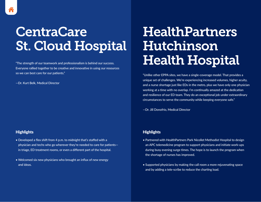# **CentraCare** St. Cloud Hospital

"The strength of our teamwork and professionalism is behind our success. Everyone rallied together to be creative and innovative in using our resources so we can best care for our patients."

—Dr. Kurt Belk, Medical Director

### **Highlights**

- Developed a flex shift from 4 p.m. to midnight that's staffed with a physician and techs who go wherever they're needed to care for patients in triage, ED treatment rooms, or even a different part of the hospital.
- Welcomed six new physicians who brought an influx of new energy and ideas.

## HealthPartners Hutchinson Health Hospital

"Unlike other EPPA sites, we have a single-coverage model. That provides a unique set of challenges. We're experiencing increased volumes, higher acuity, and a nurse shortage just like EDs in the metro, plus we have only one physician working at a time with no overlap. I'm continually amazed at the dedication and resilience of our ED team. They do an exceptional job under extraordinary circumstances to serve the community while keeping everyone safe."

—Dr. Jill Donofrio, Medical Director

- Partnered with HealthPartners Park Nicollet Methodist Hospital to design an APC telemedicine program to support physicians and initiate work-ups during busy evening surge times. The hope is to launch the program when the shortage of nurses has improved.
- Supported physicians by making the call room a more rejuvenating space and by adding a tele-scribe to reduce the charting load.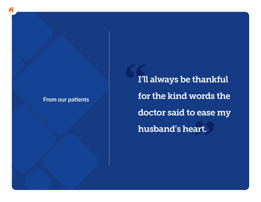### **From our patients**

**"** ease<br>art. I'll always be thankful for the kind words the doctor said to ease my husband's heart.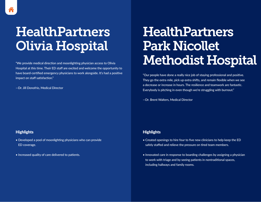## HealthPartners Olivia Hospital

"We provide medical direction and moonlighting physician access to Olivia Hospital at this time. Their ED staff are excited and welcome the opportunity to have board-certified emergency physicians to work alongside. It's had a positive impact on staff satisfaction."

—Dr. Jill Donofrio, Medical Director

### **Highlights**

- Developed a pool of moonlighting physicians who can provide ED coverage.
- Increased quality of care delivered to patients.

## **HealthPartners** Park Nicollet Methodist Hospital

"Our people have done a really nice job of staying professional and positive. They go the extra mile, pick up extra shifts, and remain flexible when we see a decrease or increase in hours. The resilience and teamwork are fantastic. Everybody is pitching in even though we're struggling with burnout."

—Dr. Brent Walters, Medical Director

- Created openings to hire four to five new clinicians to help keep the ED safely staffed and relieve the pressure on tired team members.
- Innovated care in response to boarding challenges by assigning a physician to work with triage and by seeing patients in nontraditional spaces, including hallways and family rooms.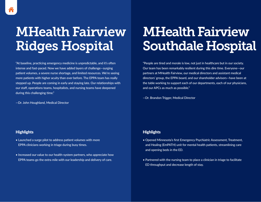## MHealth Fairview Ridges Hospital

"At baseline, practicing emergency medicine is unpredictable, and it's often intense and fast-paced. Now we have added layers of challenge—surging patient volumes, a severe nurse shortage, and limited resources. We're seeing more patients with higher acuity than ever before. The EPPA team has really stepped up. People are coming in early and staying late. Our relationships with our staff, operations teams, hospitalists, and nursing teams have deepened during this challenging time."

—Dr. John Houghland, Medical Director

# MHealth Fairview Southdale Hospital

"People are tired and morale is low, not just in healthcare but in our society. Our team has been remarkably resilient during this dire time. Everyone—our partners at MHealth Fairview, our medical directors and assistant medical directors' group, the EPPA board, and our shareholder advisors—have been at the table working to support each of our departments, each of our physicians, and our APCs as much as possible."

—Dr. Brandon Trigger, Medical Director

#### **Highlights**

- Launched a surge pilot to address patient volumes with more EPPA clinicians working in triage during busy times.
- Increased our value to our health-system partners, who appreciate how EPPA teams go the extra mile with our leadership and delivery of care.

- Opened Minnesota's first Emergency Psychiatric Assessment, Treatment, and Healing (EmPATH) unit for mental health patients, streamlining care and opening beds in the ED.
- Partnered with the nursing team to place a clinician in triage to facilitate ED throughput and decrease length of stay.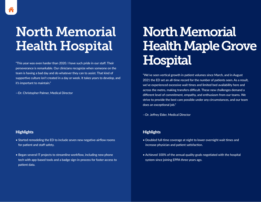# North Memorial Health Hospital

"This year was even harder than 2020. I have such pride in our staff. Their perseverance is remarkable. Our clinicians recognize when someone on the team is having a bad day and do whatever they can to assist. That kind of supportive culture isn't created in a day or week. It takes years to develop, and it's important to maintain."

—Dr. Christopher Palmer, Medical Director

### **Highlights**

- Started remodeling the ED to include seven new negative-airflow rooms for patient and staff safety.
- Began several IT projects to streamline workflow, including new phone tech with app-based tools and a badge sign-in process for faster access to patient data.

# North Memorial Health Maple Grove **Hospital**

"We've seen vertical growth in patient volumes since March, and in August 2021 the ED set an all-time record for the number of patients seen. As a result, we've experienced excessive wait times and limited bed availability here and across the metro, making transfers difficult. These new challenges demand a different level of commitment, empathy, and enthusiasm from our teams. We strive to provide the best care possible under any circumstances, and our team does an exceptional job."

—Dr. Jeffrey Elder, Medical Director

- Doubled full-time coverage at night to lower overnight wait times and increase physician and patient satisfaction.
- Achieved 100% of the annual quality goals negotiated with the hospital system since joining EPPA three years ago.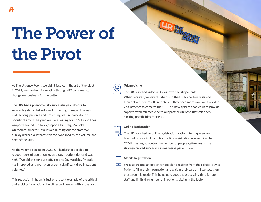# <span id="page-19-0"></span>The Power of the Pivot

At The Urgency Room, we didn't just learn the art of the pivot in 2021, we saw how innovating through difficult times can change our business for the better.

The URs had a phenomenally successful year, thanks to several big shifts that will result in lasting changes. Through it all, serving patients and protecting staff remained a top priority. "Early in the year, we were testing for COVID and lines wrapped around the block," reports Dr. Craig Matticks, UR medical director. "We risked burning out the staff. We quickly realized our teams felt overwhelmed by the volume and pace of the URs."

As the volume peaked in 2021, UR leadership decided to reduce hours of operation, even though patient demand was high. "We did this for our staff," reports Dr. Matticks. "Morale has improved, and we haven't seen a significant drop in patient volumes."

This reduction in hours is just one recent example of the critical and exciting innovations the UR experimented with in the past

#### **Telemedicine**

The UR launched video visits for lower-acuity patients. When required, we direct patients to the UR for certain tests and then deliver their results remotely. If they need more care, we ask videovisit patients to come to the UR. This new system enables us to provide sophisticated telemedicine to our partners in ways that can open exciting possibilities for EPPA.

#### Online Registration

The UR launched an online registration platform for in-person or telemedicine visits. In addition, online registration was required for COVID testing to control the number of people getting tests. The strategy proved successful in managing patient flow.

#### Mobile Registration

We also created an option for people to register from their digital device. Patients fill in their information and wait in their cars until we text them that a room is ready. This helps us reduce the processing time for our staff and limits the number of ill patients sitting in the lobby.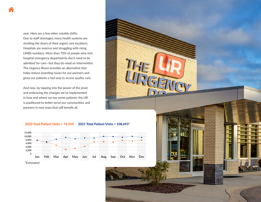year. Here are a few other notable shifts: Due to staff shortages, many health systems are shutting the doors of their urgent care locations. Hospitals are overrun and struggling with rising LWBS numbers. More than 70% of people who visit hospital emergency departments don't need to be admitted for care—but they do need an intervention. The Urgency Room provides an alternative that helps reduce boarding issues for our partners and gives our patients a fast way to access quality care.

And now, by tapping into the power of the pivot and embracing the changes we've implemented in how and where we see some patients, the UR is positioned to better serve our communities and partners in new ways that will benefit all.

#### 2020 Total Patient Visits = 74,334 2021 Total Patient Visits = 108,693\*



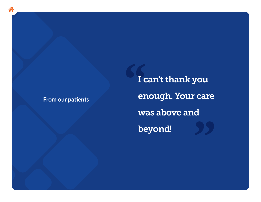### **From our patients**

**"** d<br>99 I can't thank you enough. Your care was above and beyond!